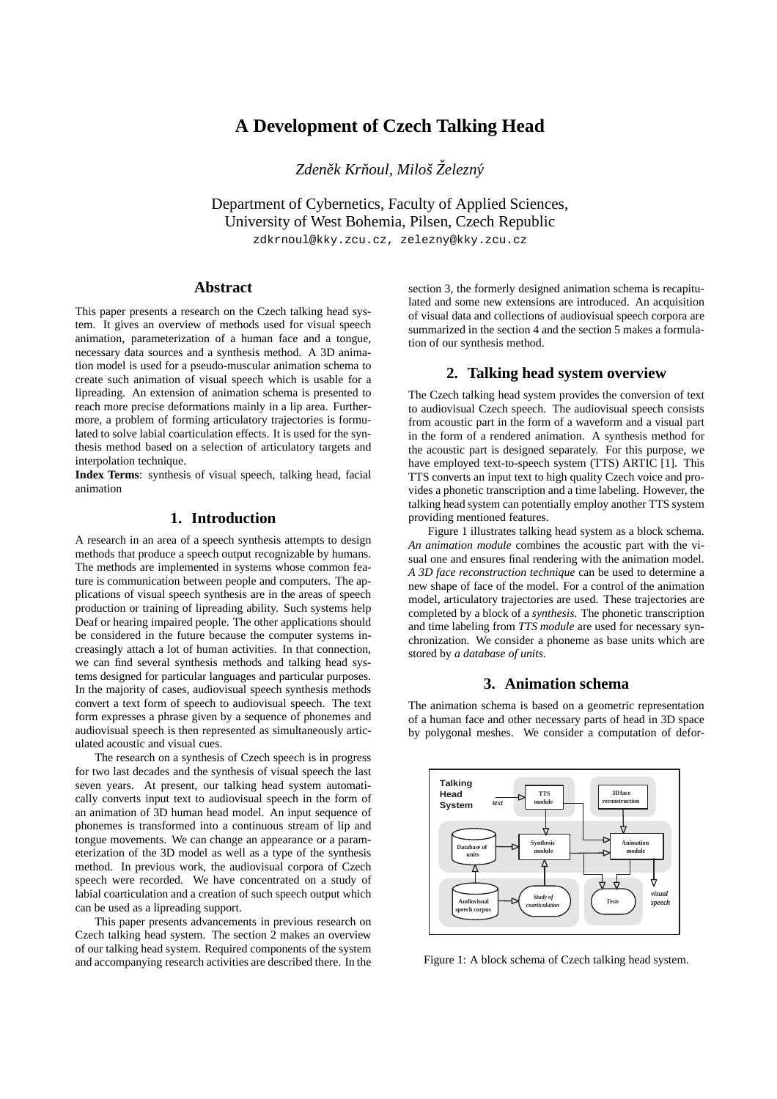# **A Development of Czech Talking Head**

*Zdenek Kr ˇ noul, Miloˇs ˇ Zelezn ˇ y´*

Department of Cybernetics, Faculty of Applied Sciences, University of West Bohemia, Pilsen, Czech Republic

zdkrnoul@kky.zcu.cz, zelezny@kky.zcu.cz

## **Abstract**

This paper presents a research on the Czech talking head system. It gives an overview of methods used for visual speech animation, parameterization of a human face and a tongue, necessary data sources and a synthesis method. A 3D animation model is used for a pseudo-muscular animation schema to create such animation of visual speech which is usable for a lipreading. An extension of animation schema is presented to reach more precise deformations mainly in a lip area. Furthermore, a problem of forming articulatory trajectories is formulated to solve labial coarticulation effects. It is used for the synthesis method based on a selection of articulatory targets and interpolation technique.

**Index Terms**: synthesis of visual speech, talking head, facial animation

# **1. Introduction**

A research in an area of a speech synthesis attempts to design methods that produce a speech output recognizable by humans. The methods are implemented in systems whose common feature is communication between people and computers. The applications of visual speech synthesis are in the areas of speech production or training of lipreading ability. Such systems help Deaf or hearing impaired people. The other applications should be considered in the future because the computer systems increasingly attach a lot of human activities. In that connection, we can find several synthesis methods and talking head systems designed for particular languages and particular purposes. In the majority of cases, audiovisual speech synthesis methods convert a text form of speech to audiovisual speech. The text form expresses a phrase given by a sequence of phonemes and audiovisual speech is then represented as simultaneously articulated acoustic and visual cues.

The research on a synthesis of Czech speech is in progress for two last decades and the synthesis of visual speech the last seven years. At present, our talking head system automatically converts input text to audiovisual speech in the form of an animation of 3D human head model. An input sequence of phonemes is transformed into a continuous stream of lip and tongue movements. We can change an appearance or a parameterization of the 3D model as well as a type of the synthesis method. In previous work, the audiovisual corpora of Czech speech were recorded. We have concentrated on a study of labial coarticulation and a creation of such speech output which can be used as a lipreading support.

This paper presents advancements in previous research on Czech talking head system. The section 2 makes an overview of our talking head system. Required components of the system and accompanying research activities are described there. In the

section 3, the formerly designed animation schema is recapitulated and some new extensions are introduced. An acquisition of visual data and collections of audiovisual speech corpora are summarized in the section 4 and the section 5 makes a formulation of our synthesis method.

### **2. Talking head system overview**

The Czech talking head system provides the conversion of text to audiovisual Czech speech. The audiovisual speech consists from acoustic part in the form of a waveform and a visual part in the form of a rendered animation. A synthesis method for the acoustic part is designed separately. For this purpose, we have employed text-to-speech system (TTS) ARTIC [1]. This TTS converts an input text to high quality Czech voice and provides a phonetic transcription and a time labeling. However, the talking head system can potentially employ another TTS system providing mentioned features.

Figure 1 illustrates talking head system as a block schema. *An animation module* combines the acoustic part with the visual one and ensures final rendering with the animation model. *A 3D face reconstruction technique* can be used to determine a new shape of face of the model. For a control of the animation model, articulatory trajectories are used. These trajectories are completed by a block of a *synthesis*. The phonetic transcription and time labeling from *TTS module* are used for necessary synchronization. We consider a phoneme as base units which are stored by *a database of units*.

# **3. Animation schema**

The animation schema is based on a geometric representation of a human face and other necessary parts of head in 3D space by polygonal meshes. We consider a computation of defor-



Figure 1: A block schema of Czech talking head system.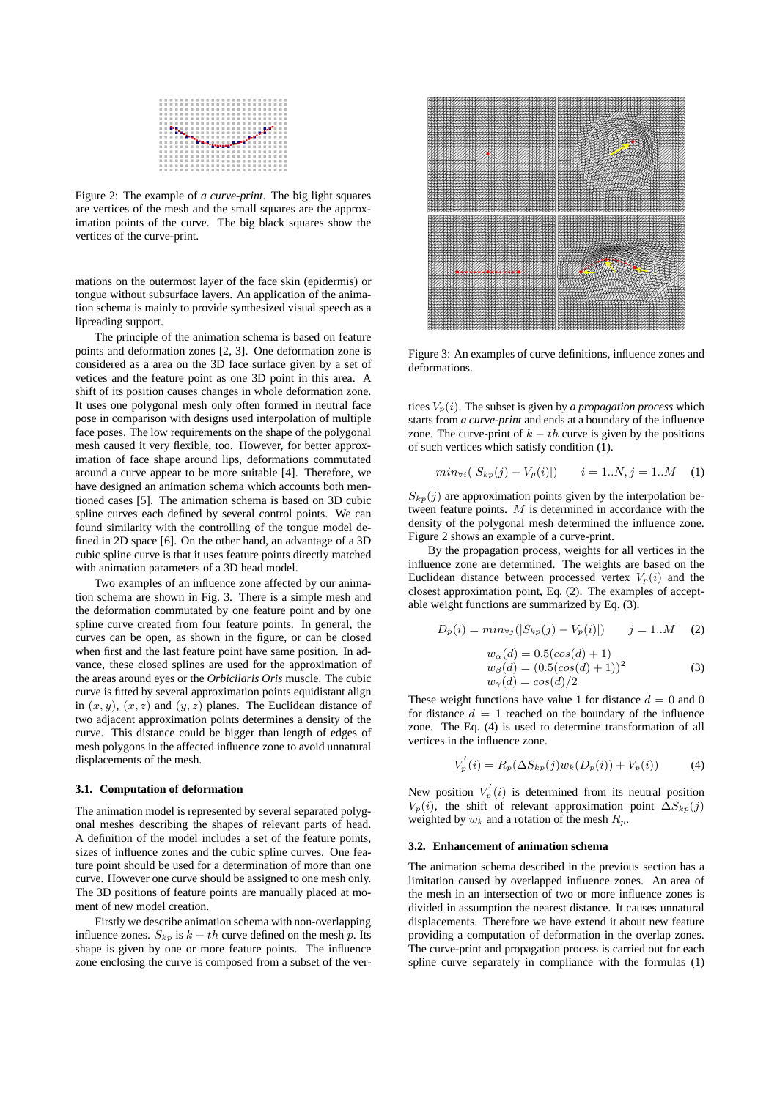|  |  |  | -------------------------  |  |  |  |  |  |  |  |  |  |
|--|--|--|----------------------------|--|--|--|--|--|--|--|--|--|
|  |  |  |                            |  |  |  |  |  |  |  |  |  |
|  |  |  |                            |  |  |  |  |  |  |  |  |  |
|  |  |  |                            |  |  |  |  |  |  |  |  |  |
|  |  |  |                            |  |  |  |  |  |  |  |  |  |
|  |  |  |                            |  |  |  |  |  |  |  |  |  |
|  |  |  |                            |  |  |  |  |  |  |  |  |  |
|  |  |  |                            |  |  |  |  |  |  |  |  |  |
|  |  |  |                            |  |  |  |  |  |  |  |  |  |
|  |  |  | -------------------------  |  |  |  |  |  |  |  |  |  |
|  |  |  | -------------------------- |  |  |  |  |  |  |  |  |  |
|  |  |  | -------------------------  |  |  |  |  |  |  |  |  |  |
|  |  |  |                            |  |  |  |  |  |  |  |  |  |

Figure 2: The example of *a curve-print*. The big light squares are vertices of the mesh and the small squares are the approximation points of the curve. The big black squares show the vertices of the curve-print.

mations on the outermost layer of the face skin (epidermis) or tongue without subsurface layers. An application of the animation schema is mainly to provide synthesized visual speech as a lipreading support.

The principle of the animation schema is based on feature points and deformation zones [2, 3]. One deformation zone is considered as a area on the 3D face surface given by a set of vetices and the feature point as one 3D point in this area. A shift of its position causes changes in whole deformation zone. It uses one polygonal mesh only often formed in neutral face pose in comparison with designs used interpolation of multiple face poses. The low requirements on the shape of the polygonal mesh caused it very flexible, too. However, for better approximation of face shape around lips, deformations commutated around a curve appear to be more suitable [4]. Therefore, we have designed an animation schema which accounts both mentioned cases [5]. The animation schema is based on 3D cubic spline curves each defined by several control points. We can found similarity with the controlling of the tongue model defined in 2D space [6]. On the other hand, an advantage of a 3D cubic spline curve is that it uses feature points directly matched with animation parameters of a 3D head model.

Two examples of an influence zone affected by our animation schema are shown in Fig. 3. There is a simple mesh and the deformation commutated by one feature point and by one spline curve created from four feature points. In general, the curves can be open, as shown in the figure, or can be closed when first and the last feature point have same position. In advance, these closed splines are used for the approximation of the areas around eyes or the *Orbicilaris Oris* muscle. The cubic curve is fitted by several approximation points equidistant align in  $(x, y)$ ,  $(x, z)$  and  $(y, z)$  planes. The Euclidean distance of two adjacent approximation points determines a density of the curve. This distance could be bigger than length of edges of mesh polygons in the affected influence zone to avoid unnatural displacements of the mesh.

#### **3.1. Computation of deformation**

The animation model is represented by several separated polygonal meshes describing the shapes of relevant parts of head. A definition of the model includes a set of the feature points, sizes of influence zones and the cubic spline curves. One feature point should be used for a determination of more than one curve. However one curve should be assigned to one mesh only. The 3D positions of feature points are manually placed at moment of new model creation.

Firstly we describe animation schema with non-overlapping influence zones.  $S_{kp}$  is  $k - th$  curve defined on the mesh p. Its shape is given by one or more feature points. The influence zone enclosing the curve is composed from a subset of the ver-



Figure 3: An examples of curve definitions, influence zones and deformations.

tices  $V_p(i)$ . The subset is given by *a propagation process* which starts from *a curve-print* and ends at a boundary of the influence zone. The curve-print of  $k - th$  curve is given by the positions of such vertices which satisfy condition (1).

$$
min_{\forall i} (|S_{kp}(j) - V_p(i)|) \qquad i = 1..N, j = 1..M \quad (1)
$$

 $S_{kp}(j)$  are approximation points given by the interpolation between feature points. M is determined in accordance with the density of the polygonal mesh determined the influence zone. Figure 2 shows an example of a curve-print.

By the propagation process, weights for all vertices in the influence zone are determined. The weights are based on the Euclidean distance between processed vertex  $V_p(i)$  and the closest approximation point, Eq. (2). The examples of acceptable weight functions are summarized by Eq. (3).

$$
D_p(i) = min_{\forall j}(|S_{kp}(j) - V_p(i)|) \qquad j = 1...M \qquad (2)
$$
  

$$
w_{\alpha}(d) = 0.5(cos(d) + 1)
$$
  

$$
w_{\beta}(d) = (0.5(cos(d) + 1))^2
$$
  

$$
w_{\gamma}(d) = cos(d)/2
$$
 (3)

These weight functions have value 1 for distance  $d = 0$  and 0 for distance  $d = 1$  reached on the boundary of the influence zone. The Eq. (4) is used to determine transformation of all vertices in the influence zone.

$$
V'_{p}(i) = R_{p}(\Delta S_{kp}(j)w_{k}(D_{p}(i)) + V_{p}(i))
$$
 (4)

New position  $V_p'(i)$  is determined from its neutral position  $V_p(i)$ , the shift of relevant approximation point  $\Delta S_{kp}(j)$ weighted by  $w_k$  and a rotation of the mesh  $R_p$ .

#### **3.2. Enhancement of animation schema**

The animation schema described in the previous section has a limitation caused by overlapped influence zones. An area of the mesh in an intersection of two or more influence zones is divided in assumption the nearest distance. It causes unnatural displacements. Therefore we have extend it about new feature providing a computation of deformation in the overlap zones. The curve-print and propagation process is carried out for each spline curve separately in compliance with the formulas (1)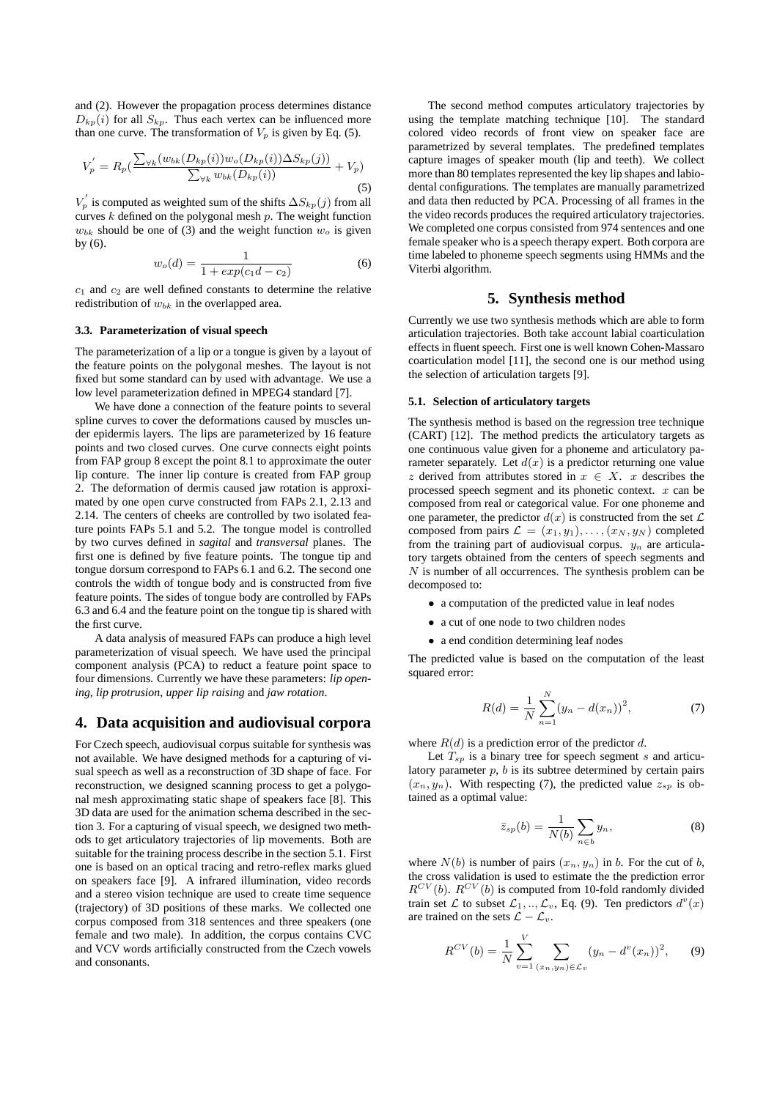and (2). However the propagation process determines distance  $D_{kp}(i)$  for all  $S_{kp}$ . Thus each vertex can be influenced more than one curve. The transformation of  $V_p$  is given by Eq. (5).

$$
V_p' = R_p(\frac{\sum_{\forall k} (w_{bk}(D_{kp}(i))w_o(D_{kp}(i))\Delta S_{kp}(j))}{\sum_{\forall k} w_{bk}(D_{kp}(i))} + V_p)
$$
\n(5)

 $V_p'$  is computed as weighted sum of the shifts  $\Delta S_{kp}(j)$  from all curves  $k$  defined on the polygonal mesh  $p$ . The weight function  $w_{bk}$  should be one of (3) and the weight function  $w_o$  is given by (6).

$$
w_o(d) = \frac{1}{1 + exp(c_1d - c_2)}
$$
 (6)

 $c_1$  and  $c_2$  are well defined constants to determine the relative redistribution of  $w_{bk}$  in the overlapped area.

#### **3.3. Parameterization of visual speech**

The parameterization of a lip or a tongue is given by a layout of the feature points on the polygonal meshes. The layout is not fixed but some standard can by used with advantage. We use a low level parameterization defined in MPEG4 standard [7].

We have done a connection of the feature points to several spline curves to cover the deformations caused by muscles under epidermis layers. The lips are parameterized by 16 feature points and two closed curves. One curve connects eight points from FAP group 8 except the point 8.1 to approximate the outer lip conture. The inner lip conture is created from FAP group 2. The deformation of dermis caused jaw rotation is approximated by one open curve constructed from FAPs 2.1, 2.13 and 2.14. The centers of cheeks are controlled by two isolated feature points FAPs 5.1 and 5.2. The tongue model is controlled by two curves defined in *sagital* and *transversal* planes. The first one is defined by five feature points. The tongue tip and tongue dorsum correspond to FAPs 6.1 and 6.2. The second one controls the width of tongue body and is constructed from five feature points. The sides of tongue body are controlled by FAPs 6.3 and 6.4 and the feature point on the tongue tip is shared with the first curve.

A data analysis of measured FAPs can produce a high level parameterization of visual speech. We have used the principal component analysis (PCA) to reduct a feature point space to four dimensions. Currently we have these parameters: *lip opening*, *lip protrusion*, *upper lip raising* and *jaw rotation*.

### **4. Data acquisition and audiovisual corpora**

For Czech speech, audiovisual corpus suitable for synthesis was not available. We have designed methods for a capturing of visual speech as well as a reconstruction of 3D shape of face. For reconstruction, we designed scanning process to get a polygonal mesh approximating static shape of speakers face [8]. This 3D data are used for the animation schema described in the section 3. For a capturing of visual speech, we designed two methods to get articulatory trajectories of lip movements. Both are suitable for the training process describe in the section 5.1. First one is based on an optical tracing and retro-reflex marks glued on speakers face [9]. A infrared illumination, video records and a stereo vision technique are used to create time sequence (trajectory) of 3D positions of these marks. We collected one corpus composed from 318 sentences and three speakers (one female and two male). In addition, the corpus contains CVC and VCV words artificially constructed from the Czech vowels and consonants.

The second method computes articulatory trajectories by using the template matching technique [10]. The standard colored video records of front view on speaker face are parametrized by several templates. The predefined templates capture images of speaker mouth (lip and teeth). We collect more than 80 templates represented the key lip shapes and labiodental configurations. The templates are manually parametrized and data then reducted by PCA. Processing of all frames in the the video records produces the required articulatory trajectories. We completed one corpus consisted from 974 sentences and one female speaker who is a speech therapy expert. Both corpora are time labeled to phoneme speech segments using HMMs and the Viterbi algorithm.

### **5. Synthesis method**

Currently we use two synthesis methods which are able to form articulation trajectories. Both take account labial coarticulation effects in fluent speech. First one is well known Cohen-Massaro coarticulation model [11], the second one is our method using the selection of articulation targets [9].

#### **5.1. Selection of articulatory targets**

The synthesis method is based on the regression tree technique (CART) [12]. The method predicts the articulatory targets as one continuous value given for a phoneme and articulatory parameter separately. Let  $d(x)$  is a predictor returning one value z derived from attributes stored in  $x \in X$ . x describes the processed speech segment and its phonetic context.  $x$  can be composed from real or categorical value. For one phoneme and one parameter, the predictor  $d(x)$  is constructed from the set  $\mathcal L$ composed from pairs  $\mathcal{L} = (x_1, y_1), \ldots, (x_N, y_N)$  completed from the training part of audiovisual corpus.  $y_n$  are articulatory targets obtained from the centers of speech segments and  $N$  is number of all occurrences. The synthesis problem can be decomposed to:

- a computation of the predicted value in leaf nodes
- a cut of one node to two children nodes
- a end condition determining leaf nodes

The predicted value is based on the computation of the least squared error:

$$
R(d) = \frac{1}{N} \sum_{n=1}^{N} (y_n - d(x_n))^2,
$$
 (7)

where  $R(d)$  is a prediction error of the predictor d.

Let  $T_{sp}$  is a binary tree for speech segment s and articulatory parameter  $p$ ,  $b$  is its subtree determined by certain pairs  $(x_n, y_n)$ . With respecting (7), the predicted value  $z_{sp}$  is obtained as a optimal value:

$$
\bar{z}_{sp}(b) = \frac{1}{N(b)} \sum_{n \in b} y_n,
$$
\n(8)

where  $N(b)$  is number of pairs  $(x_n, y_n)$  in b. For the cut of b, the cross validation is used to estimate the the prediction error  $R^{CV}(b)$ .  $R^{CV}(b)$  is computed from 10-fold randomly divided train set  $\mathcal L$  to subset  $\mathcal L_1, ..., \mathcal L_v$ , Eq. (9). Ten predictors  $d^v(x)$ are trained on the sets  $\mathcal{L} - \mathcal{L}_v$ .

$$
R^{CV}(b) = \frac{1}{N} \sum_{v=1}^{V} \sum_{(x_n, y_n) \in \mathcal{L}_v} (y_n - d^v(x_n))^2, \qquad (9)
$$